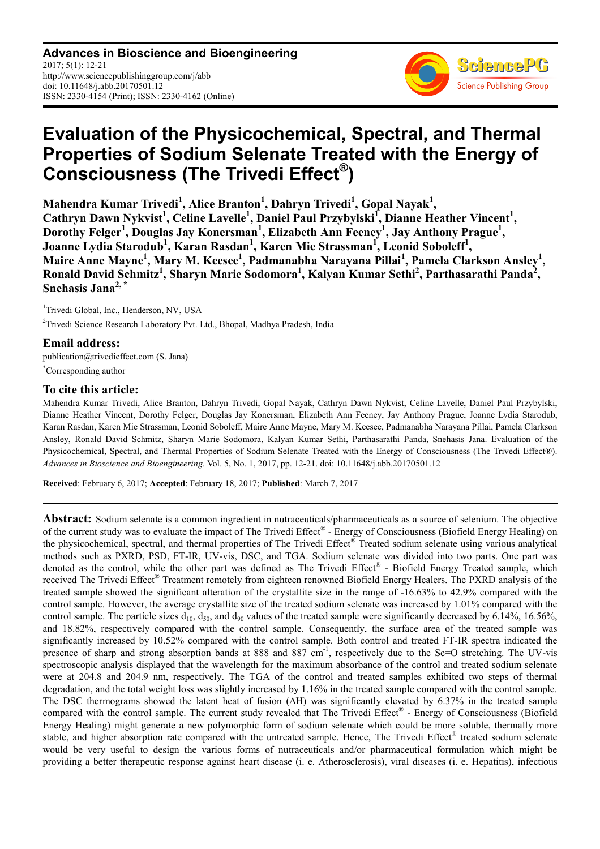**Advances in Bioscience and Bioengineering** 2017; 5(1): 12-21 http://www.sciencepublishinggroup.com/j/abb doi: 10.11648/j.abb.20170501.12 ISSN: 2330-4154 (Print); ISSN: 2330-4162 (Online)



# **Evaluation of the Physicochemical, Spectral, and Thermal Properties of Sodium Selenate Treated with the Energy of Consciousness (The Trivedi Effect® )**

**Mahendra Kumar Trivedi<sup>1</sup> , Alice Branton<sup>1</sup> , Dahryn Trivedi<sup>1</sup> , Gopal Nayak<sup>1</sup> ,**  Cathryn Dawn Nykvist<sup>1</sup>, Celine Lavelle<sup>1</sup>, Daniel Paul Przybylski<sup>I</sup>, Dianne Heather Vincent<sup>1</sup>, **Dorothy Felger<sup>1</sup> , Douglas Jay Konersman<sup>1</sup> , Elizabeth Ann Feeney<sup>1</sup> , Jay Anthony Prague<sup>1</sup> , Joanne Lydia Starodub<sup>1</sup> , Karan Rasdan<sup>1</sup> , Karen Mie Strassman<sup>1</sup> , Leonid Soboleff<sup>1</sup> , Maire Anne Mayne<sup>1</sup> , Mary M. Keesee<sup>1</sup> , Padmanabha Narayana Pillai<sup>1</sup> , Pamela Clarkson Ansley<sup>1</sup> , Ronald David Schmitz<sup>1</sup> , Sharyn Marie Sodomora<sup>1</sup> , Kalyan Kumar Sethi<sup>2</sup> , Parthasarathi Panda<sup>2</sup> , Snehasis Jana2, \***

<sup>1</sup>Trivedi Global, Inc., Henderson, NV, USA <sup>2</sup>Trivedi Science Research Laboratory Pvt. Ltd., Bhopal, Madhya Pradesh, India

# **Email address:**

publication@trivedieffect.com (S. Jana) \*Corresponding author

### **To cite this article:**

Mahendra Kumar Trivedi, Alice Branton, Dahryn Trivedi, Gopal Nayak, Cathryn Dawn Nykvist, Celine Lavelle, Daniel Paul Przybylski, Dianne Heather Vincent, Dorothy Felger, Douglas Jay Konersman, Elizabeth Ann Feeney, Jay Anthony Prague, Joanne Lydia Starodub, Karan Rasdan, Karen Mie Strassman, Leonid Soboleff, Maire Anne Mayne, Mary M. Keesee, Padmanabha Narayana Pillai, Pamela Clarkson Ansley, Ronald David Schmitz, Sharyn Marie Sodomora, Kalyan Kumar Sethi, Parthasarathi Panda, Snehasis Jana. Evaluation of the Physicochemical, Spectral, and Thermal Properties of Sodium Selenate Treated with the Energy of Consciousness (The Trivedi Effect®). *Advances in Bioscience and Bioengineering.* Vol. 5, No. 1, 2017, pp. 12-21. doi: 10.11648/j.abb.20170501.12

**Received**: February 6, 2017; **Accepted**: February 18, 2017; **Published**: March 7, 2017

**Abstract:** Sodium selenate is a common ingredient in nutraceuticals/pharmaceuticals as a source of selenium. The objective of the current study was to evaluate the impact of The Trivedi Effect® - Energy of Consciousness (Biofield Energy Healing) on the physicochemical, spectral, and thermal properties of The Trivedi Effect® Treated sodium selenate using various analytical methods such as PXRD, PSD, FT-IR, UV-vis, DSC, and TGA. Sodium selenate was divided into two parts. One part was denoted as the control, while the other part was defined as The Trivedi Effect® - Biofield Energy Treated sample, which received The Trivedi Effect® Treatment remotely from eighteen renowned Biofield Energy Healers. The PXRD analysis of the treated sample showed the significant alteration of the crystallite size in the range of -16.63% to 42.9% compared with the control sample. However, the average crystallite size of the treated sodium selenate was increased by 1.01% compared with the control sample. The particle sizes  $d_{10}$ ,  $d_{50}$ , and  $d_{90}$  values of the treated sample were significantly decreased by 6.14%, 16.56%, and 18.82%, respectively compared with the control sample. Consequently, the surface area of the treated sample was significantly increased by 10.52% compared with the control sample. Both control and treated FT-IR spectra indicated the presence of sharp and strong absorption bands at 888 and 887 cm<sup>-1</sup>, respectively due to the Se=O stretching. The UV-vis spectroscopic analysis displayed that the wavelength for the maximum absorbance of the control and treated sodium selenate were at 204.8 and 204.9 nm, respectively. The TGA of the control and treated samples exhibited two steps of thermal degradation, and the total weight loss was slightly increased by 1.16% in the treated sample compared with the control sample. The DSC thermograms showed the latent heat of fusion (∆H) was significantly elevated by 6.37% in the treated sample compared with the control sample. The current study revealed that The Trivedi Effect® - Energy of Consciousness (Biofield Energy Healing) might generate a new polymorphic form of sodium selenate which could be more soluble, thermally more stable, and higher absorption rate compared with the untreated sample. Hence, The Trivedi Effect® treated sodium selenate would be very useful to design the various forms of nutraceuticals and/or pharmaceutical formulation which might be providing a better therapeutic response against heart disease (i. e. Atherosclerosis), viral diseases (i. e. Hepatitis), infectious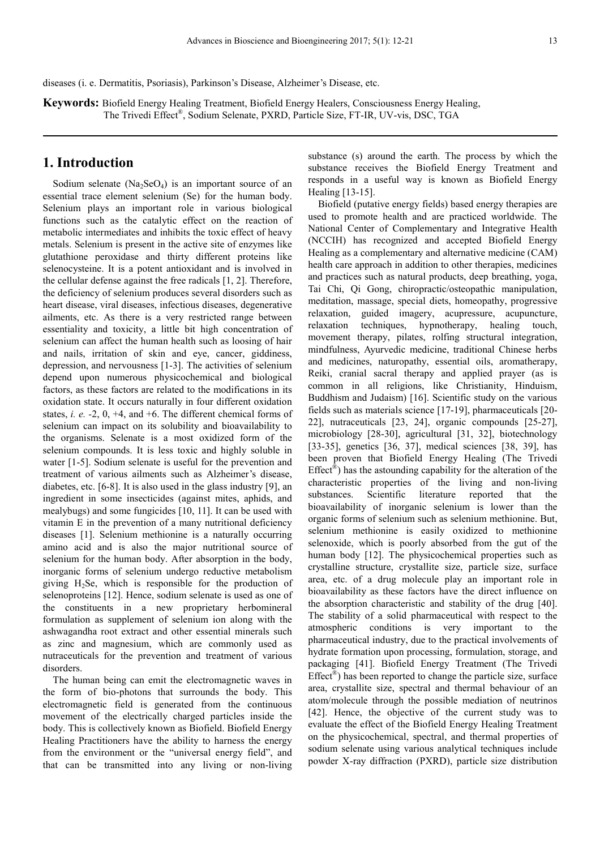diseases (i. e. Dermatitis, Psoriasis), Parkinson's Disease, Alzheimer's Disease, etc.

**Keywords:** Biofield Energy Healing Treatment, Biofield Energy Healers, Consciousness Energy Healing, The Trivedi Effect® , Sodium Selenate, PXRD, Particle Size, FT-IR, UV-vis, DSC, TGA

# **1. Introduction**

Sodium selenate  $(Na_2SeO_4)$  is an important source of an essential trace element selenium (Se) for the human body. Selenium plays an important role in various biological functions such as the catalytic effect on the reaction of metabolic intermediates and inhibits the toxic effect of heavy metals. Selenium is present in the active site of enzymes like glutathione peroxidase and thirty different proteins like selenocysteine. It is a potent antioxidant and is involved in the cellular defense against the free radicals [1, 2]. Therefore, the deficiency of selenium produces several disorders such as heart disease, viral diseases, infectious diseases, degenerative ailments, etc. As there is a very restricted range between essentiality and toxicity, a little bit high concentration of selenium can affect the human health such as loosing of hair and nails, irritation of skin and eye, cancer, giddiness, depression, and nervousness [1-3]. The activities of selenium depend upon numerous physicochemical and biological factors, as these factors are related to the modifications in its oxidation state. It occurs naturally in four different oxidation states, *i. e. -*2, 0, +4, and +6. The different chemical forms of selenium can impact on its solubility and bioavailability to the organisms. Selenate is a most oxidized form of the selenium compounds. It is less toxic and highly soluble in water [1-5]. Sodium selenate is useful for the prevention and treatment of various ailments such as Alzheimer's disease, diabetes, etc. [6-8]. It is also used in the glass industry [9], an ingredient in some insecticides (against mites, aphids, and mealybugs) and some fungicides [10, 11]. It can be used with vitamin E in the prevention of a many nutritional deficiency diseases [1]. Selenium methionine is a naturally occurring amino acid and is also the major nutritional source of selenium for the human body. After absorption in the body, inorganic forms of selenium undergo reductive metabolism giving  $H_2$ Se, which is responsible for the production of selenoproteins [12]. Hence, sodium selenate is used as one of the constituents in a new proprietary herbomineral formulation as supplement of selenium ion along with the ashwagandha root extract and other essential minerals such as zinc and magnesium, which are commonly used as nutraceuticals for the prevention and treatment of various disorders.

The human being can emit the electromagnetic waves in the form of bio-photons that surrounds the body. This electromagnetic field is generated from the continuous movement of the electrically charged particles inside the body. This is collectively known as Biofield. Biofield Energy Healing Practitioners have the ability to harness the energy from the environment or the "universal energy field", and that can be transmitted into any living or non-living

substance (s) around the earth. The process by which the substance receives the Biofield Energy Treatment and responds in a useful way is known as Biofield Energy Healing [13-15].

Biofield (putative energy fields) based energy therapies are used to promote health and are practiced worldwide. The National Center of Complementary and Integrative Health (NCCIH) has recognized and accepted Biofield Energy Healing as a complementary and alternative medicine (CAM) health care approach in addition to other therapies, medicines and practices such as natural products, deep breathing, yoga, Tai Chi, Qi Gong, chiropractic/osteopathic manipulation, meditation, massage, special diets, homeopathy, progressive relaxation, guided imagery, acupressure, acupuncture, relaxation techniques, hypnotherapy, healing touch, movement therapy, pilates, rolfing structural integration, mindfulness, Ayurvedic medicine, traditional Chinese herbs and medicines, naturopathy, essential oils, aromatherapy, Reiki, cranial sacral therapy and applied prayer (as is common in all religions, like Christianity, Hinduism, Buddhism and Judaism) [16]. Scientific study on the various fields such as materials science [17-19], pharmaceuticals [20- 22], nutraceuticals [23, 24], organic compounds [25-27], microbiology [28-30], agricultural [31, 32], biotechnology [33-35], genetics [36, 37], medical sciences [38, 39], has been proven that Biofield Energy Healing (The Trivedi  $Effect<sup>(8)</sup>$  has the astounding capability for the alteration of the characteristic properties of the living and non-living substances. Scientific literature reported that the bioavailability of inorganic selenium is lower than the organic forms of selenium such as selenium methionine. But, selenium methionine is easily oxidized to methionine selenoxide, which is poorly absorbed from the gut of the human body [12]. The physicochemical properties such as crystalline structure, crystallite size, particle size, surface area, etc. of a drug molecule play an important role in bioavailability as these factors have the direct influence on the absorption characteristic and stability of the drug [40]. The stability of a solid pharmaceutical with respect to the atmospheric conditions is very important to the pharmaceutical industry, due to the practical involvements of hydrate formation upon processing, formulation, storage, and packaging [41]. Biofield Energy Treatment (The Trivedi  $Effect<sup>®</sup>$ ) has been reported to change the particle size, surface area, crystallite size, spectral and thermal behaviour of an atom/molecule through the possible mediation of neutrinos [42]. Hence, the objective of the current study was to evaluate the effect of the Biofield Energy Healing Treatment on the physicochemical, spectral, and thermal properties of sodium selenate using various analytical techniques include powder X-ray diffraction (PXRD), particle size distribution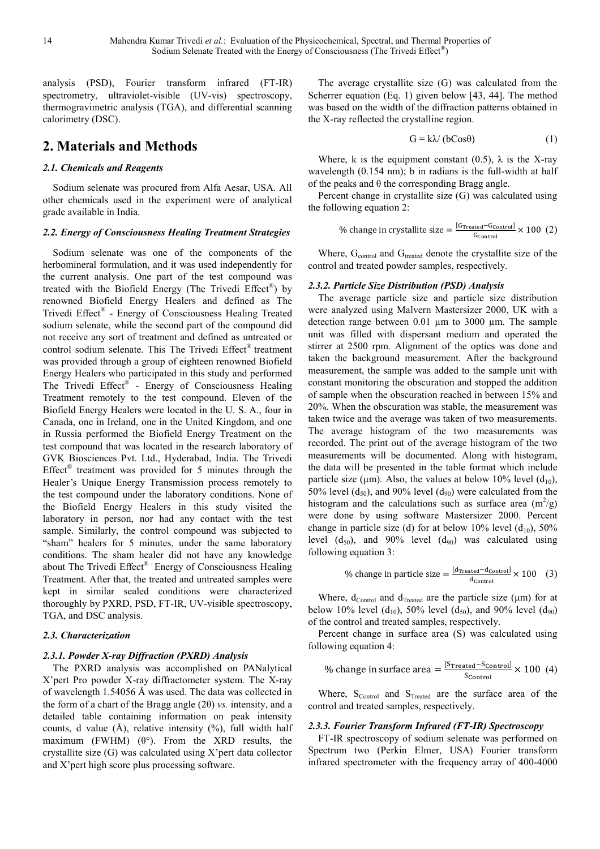analysis (PSD), Fourier transform infrared (FT-IR) spectrometry, ultraviolet-visible (UV-vis) spectroscopy, thermogravimetric analysis (TGA), and differential scanning calorimetry (DSC).

# **2. Materials and Methods**

#### *2.1. Chemicals and Reagents*

Sodium selenate was procured from Alfa Aesar, USA. All other chemicals used in the experiment were of analytical grade available in India.

#### *2.2. Energy of Consciousness Healing Treatment Strategies*

Sodium selenate was one of the components of the herbomineral formulation, and it was used independently for the current analysis. One part of the test compound was treated with the Biofield Energy (The Trivedi Effect®) by renowned Biofield Energy Healers and defined as The Trivedi Effect® - Energy of Consciousness Healing Treated sodium selenate, while the second part of the compound did not receive any sort of treatment and defined as untreated or control sodium selenate. This The Trivedi Effect<sup>®</sup> treatment was provided through a group of eighteen renowned Biofield Energy Healers who participated in this study and performed The Trivedi Effect<sup>®</sup> - Energy of Consciousness Healing Treatment remotely to the test compound. Eleven of the Biofield Energy Healers were located in the U. S. A., four in Canada, one in Ireland, one in the United Kingdom, and one in Russia performed the Biofield Energy Treatment on the test compound that was located in the research laboratory of GVK Biosciences Pvt. Ltd., Hyderabad, India. The Trivedi Effect<sup>®</sup> treatment was provided for 5 minutes through the Healer's Unique Energy Transmission process remotely to the test compound under the laboratory conditions. None of the Biofield Energy Healers in this study visited the laboratory in person, nor had any contact with the test sample. Similarly, the control compound was subjected to "sham" healers for 5 minutes, under the same laboratory conditions. The sham healer did not have any knowledge about The Trivedi Effect® Energy of Consciousness Healing Treatment. After that, the treated and untreated samples were kept in similar sealed conditions were characterized thoroughly by PXRD, PSD, FT-IR, UV-visible spectroscopy, TGA, and DSC analysis.

#### *2.3. Characterization*

#### *2.3.1. Powder X-ray Diffraction (PXRD) Analysis*

The PXRD analysis was accomplished on PANalytical X'pert Pro powder X-ray diffractometer system. The X-ray of wavelength 1.54056 Å was used. The data was collected in the form of a chart of the Bragg angle (2θ) *vs.* intensity, and a detailed table containing information on peak intensity counts, d value  $(A)$ , relative intensity  $(\%)$ , full width half maximum (FWHM)  $(\theta^{\circ})$ . From the XRD results, the crystallite size (G) was calculated using X'pert data collector and X'pert high score plus processing software.

The average crystallite size (G) was calculated from the Scherrer equation (Eq. 1) given below [43, 44]. The method was based on the width of the diffraction patterns obtained in the X-ray reflected the crystalline region.

$$
G = k\lambda / (bCos\theta)
$$
 (1)

Where, k is the equipment constant  $(0.5)$ ,  $\lambda$  is the X-ray wavelength (0.154 nm); b in radians is the full-width at half of the peaks and  $\theta$  the corresponding Bragg angle.

Percent change in crystallite size (G) was calculated using the following equation 2:

% change in crystallite size = 
$$
\frac{[G_{\text{Treated}} - G_{\text{Control}}]}{G_{\text{Control}}}
$$
 × 100 (2)

Where,  $G<sub>control</sub>$  and  $G<sub>treated</sub>$  denote the crystallite size of the control and treated powder samples, respectively.

#### *2.3.2. Particle Size Distribution (PSD) Analysis*

The average particle size and particle size distribution were analyzed using Malvern Mastersizer 2000, UK with a detection range between 0.01 µm to 3000 µm. The sample unit was filled with dispersant medium and operated the stirrer at 2500 rpm. Alignment of the optics was done and taken the background measurement. After the background measurement, the sample was added to the sample unit with constant monitoring the obscuration and stopped the addition of sample when the obscuration reached in between 15% and 20%. When the obscuration was stable, the measurement was taken twice and the average was taken of two measurements. The average histogram of the two measurements was recorded. The print out of the average histogram of the two measurements will be documented. Along with histogram, the data will be presented in the table format which include particle size ( $\mu$ m). Also, the values at below 10% level ( $d_{10}$ ), 50% level  $(d_{50})$ , and 90% level  $(d_{90})$  were calculated from the histogram and the calculations such as surface area  $(m^2/g)$ were done by using software Mastersizer 2000. Percent change in particle size (d) for at below 10% level  $(d_{10})$ , 50% level  $(d_{50})$ , and 90% level  $(d_{90})$  was calculated using following equation 3:

% change in particle size = 
$$
\frac{\text{[dTreated – dcontrol]}{\text{d}_{\text{Control}}}\times 100
$$
 (3)

Where,  $d_{\text{Control}}$  and  $d_{\text{Treated}}$  are the particle size ( $\mu$ m) for at below 10% level (d<sub>10</sub>), 50% level (d<sub>50</sub>), and 90% level (d<sub>90</sub>) of the control and treated samples, respectively.

Percent change in surface area (S) was calculated using following equation 4:

% change in surface area = 
$$
\frac{[S_{\text{Treated}} - S_{\text{Control}}]}{S_{\text{Control}}} \times 100 \text{ (4)}
$$

Where,  $S_{Control}$  and  $S_{Treated}$  are the surface area of the control and treated samples, respectively.

#### *2.3.3. Fourier Transform Infrared (FT-IR) Spectroscopy*

FT-IR spectroscopy of sodium selenate was performed on Spectrum two (Perkin Elmer, USA) Fourier transform infrared spectrometer with the frequency array of 400-4000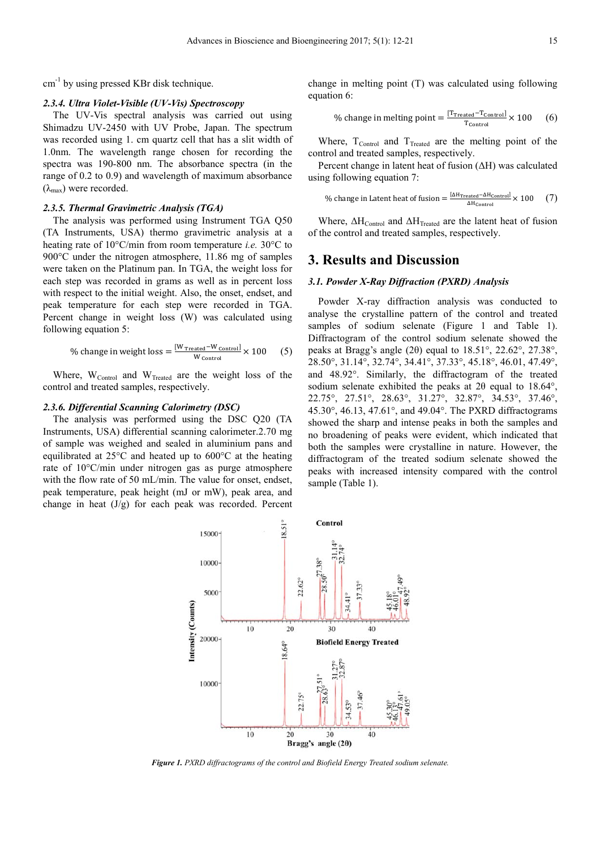cm<sup>-1</sup> by using pressed KBr disk technique.

#### *2.3.4. Ultra Violet-Visible (UV-Vis) Spectroscopy*

The UV-Vis spectral analysis was carried out using Shimadzu UV-2450 with UV Probe, Japan. The spectrum was recorded using 1. cm quartz cell that has a slit width of 1.0nm. The wavelength range chosen for recording the spectra was 190-800 nm. The absorbance spectra (in the range of 0.2 to 0.9) and wavelength of maximum absorbance  $(\lambda_{\text{max}})$  were recorded.

#### *2.3.5. Thermal Gravimetric Analysis (TGA)*

The analysis was performed using Instrument TGA Q50 (TA Instruments, USA) thermo gravimetric analysis at a heating rate of 10°C/min from room temperature *i.e.* 30°C to 900°C under the nitrogen atmosphere, 11.86 mg of samples were taken on the Platinum pan. In TGA, the weight loss for each step was recorded in grams as well as in percent loss with respect to the initial weight. Also, the onset, endset, and peak temperature for each step were recorded in TGA. Percent change in weight loss (W) was calculated using following equation 5:

% change in weight loss = 
$$
\frac{[W_{\text{Treated}} - W_{\text{Control}}]}{W_{\text{Control}}}
$$
 × 100 (5)

Where,  $W_{Control}$  and  $W_{Treated}$  are the weight loss of the control and treated samples, respectively.

#### *2.3.6. Differential Scanning Calorimetry (DSC)*

The analysis was performed using the DSC Q20 (TA Instruments, USA) differential scanning calorimeter.2.70 mg of sample was weighed and sealed in aluminium pans and equilibrated at 25°C and heated up to 600°C at the heating rate of 10°C/min under nitrogen gas as purge atmosphere with the flow rate of 50 mL/min. The value for onset, endset, peak temperature, peak height (mJ or mW), peak area, and change in heat (J/g) for each peak was recorded. Percent change in melting point (T) was calculated using following equation 6:

% change in melting point = 
$$
\frac{[\text{Tr}_{\text{reated}} - \text{Tortrol}]}{\text{T}_{\text{Control}}} \times 100 \qquad (6)
$$

Where,  $T_{Control}$  and  $T_{Treated}$  are the melting point of the control and treated samples, respectively.

Percent change in latent heat of fusion (∆H) was calculated using following equation 7:

% change in Latent heat of fusion = 
$$
\frac{[A H_{Treated} - A H_{Control}]}{A H_{Control}} \times 100
$$
 (7)

Where,  $\Delta H_{\text{Control}}$  and  $\Delta H_{\text{Treated}}$  are the latent heat of fusion of the control and treated samples, respectively.

## **3. Results and Discussion**

#### *3.1. Powder X-Ray Diffraction (PXRD) Analysis*

Powder X-ray diffraction analysis was conducted to analyse the crystalline pattern of the control and treated samples of sodium selenate (Figure 1 and Table 1). Diffractogram of the control sodium selenate showed the peaks at Bragg's angle (2θ) equal to 18.51°, 22.62°, 27.38°, 28.50°, 31.14°, 32.74°, 34.41°, 37.33°, 45.18°, 46.01, 47.49°, and 48.92°. Similarly, the diffractogram of the treated sodium selenate exhibited the peaks at 2θ equal to 18.64°, 22.75°, 27.51°, 28.63°, 31.27°, 32.87°, 34.53°, 37.46°, 45.30°, 46.13, 47.61°, and 49.04°. The PXRD diffractograms showed the sharp and intense peaks in both the samples and no broadening of peaks were evident, which indicated that both the samples were crystalline in nature. However, the diffractogram of the treated sodium selenate showed the peaks with increased intensity compared with the control sample (Table 1).



*Figure 1. PXRD diffractograms of the control and Biofield Energy Treated sodium selenate.*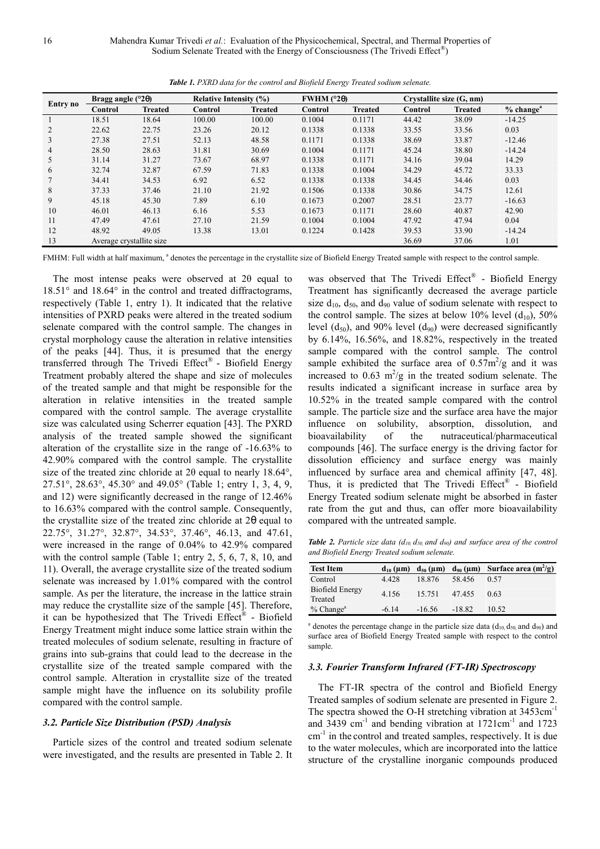| Entry no       | Bragg angle $(^{\circ}2\theta)$ |                | <b>Relative Intensity (%)</b> |                | <b>FWHM</b> $(^{\circ}2\theta)$ |                | Crystallite size (G, nm) |                |                         |
|----------------|---------------------------------|----------------|-------------------------------|----------------|---------------------------------|----------------|--------------------------|----------------|-------------------------|
|                | Control                         | <b>Treated</b> | Control                       | <b>Treated</b> | Control                         | <b>Treated</b> | Control                  | <b>Treated</b> | $%$ change <sup>a</sup> |
|                | 18.51                           | 18.64          | 100.00                        | 100.00         | 0.1004                          | 0.1171         | 44.42                    | 38.09          | $-14.25$                |
| $\overline{2}$ | 22.62                           | 22.75          | 23.26                         | 20.12          | 0.1338                          | 0.1338         | 33.55                    | 33.56          | 0.03                    |
| 3              | 27.38                           | 27.51          | 52.13                         | 48.58          | 0.1171                          | 0.1338         | 38.69                    | 33.87          | $-12.46$                |
| $\overline{4}$ | 28.50                           | 28.63          | 31.81                         | 30.69          | 0.1004                          | 0.1171         | 45.24                    | 38.80          | $-14.24$                |
| 5              | 31.14                           | 31.27          | 73.67                         | 68.97          | 0.1338                          | 0.1171         | 34.16                    | 39.04          | 14.29                   |
| 6              | 32.74                           | 32.87          | 67.59                         | 71.83          | 0.1338                          | 0.1004         | 34.29                    | 45.72          | 33.33                   |
|                | 34.41                           | 34.53          | 6.92                          | 6.52           | 0.1338                          | 0.1338         | 34.45                    | 34.46          | 0.03                    |
| 8              | 37.33                           | 37.46          | 21.10                         | 21.92          | 0.1506                          | 0.1338         | 30.86                    | 34.75          | 12.61                   |
| 9              | 45.18                           | 45.30          | 7.89                          | 6.10           | 0.1673                          | 0.2007         | 28.51                    | 23.77          | $-16.63$                |
| 10             | 46.01                           | 46.13          | 6.16                          | 5.53           | 0.1673                          | 0.1171         | 28.60                    | 40.87          | 42.90                   |
| 11             | 47.49                           | 47.61          | 27.10                         | 21.59          | 0.1004                          | 0.1004         | 47.92                    | 47.94          | 0.04                    |
| 12             | 48.92                           | 49.05          | 13.38                         | 13.01          | 0.1224                          | 0.1428         | 39.53                    | 33.90          | $-14.24$                |
| 13             | Average crystallite size        |                |                               |                |                                 |                | 36.69                    | 37.06          | 1.01                    |

*Table 1. PXRD data for the control and Biofield Energy Treated sodium selenate.* 

FMHM: Full width at half maximum, <sup>a</sup> denotes the percentage in the crystallite size of Biofield Energy Treated sample with respect to the control sample.

The most intense peaks were observed at 2θ equal to 18.51° and 18.64° in the control and treated diffractograms, respectively (Table 1, entry 1). It indicated that the relative intensities of PXRD peaks were altered in the treated sodium selenate compared with the control sample. The changes in crystal morphology cause the alteration in relative intensities of the peaks [44]. Thus, it is presumed that the energy transferred through The Trivedi Effect® - Biofield Energy Treatment probably altered the shape and size of molecules of the treated sample and that might be responsible for the alteration in relative intensities in the treated sample compared with the control sample. The average crystallite size was calculated using Scherrer equation [43]. The PXRD analysis of the treated sample showed the significant alteration of the crystallite size in the range of -16.63% to 42.90% compared with the control sample. The crystallite size of the treated zinc chloride at 2θ equal to nearly 18.64°, 27.51°, 28.63°, 45.30° and 49.05° (Table 1; entry 1, 3, 4, 9, and 12) were significantly decreased in the range of 12.46% to 16.63% compared with the control sample. Consequently, the crystallite size of the treated zinc chloride at 2θ equal to 22.75°, 31.27°, 32.87°, 34.53°, 37.46°, 46.13, and 47.61, were increased in the range of 0.04% to 42.9% compared with the control sample (Table 1; entry 2, 5, 6, 7, 8, 10, and 11). Overall, the average crystallite size of the treated sodium selenate was increased by 1.01% compared with the control sample. As per the literature, the increase in the lattice strain may reduce the crystallite size of the sample [45]. Therefore, it can be hypothesized that The Trivedi Effect® - Biofield Energy Treatment might induce some lattice strain within the treated molecules of sodium selenate, resulting in fracture of grains into sub-grains that could lead to the decrease in the crystallite size of the treated sample compared with the control sample. Alteration in crystallite size of the treated sample might have the influence on its solubility profile compared with the control sample.

#### *3.2. Particle Size Distribution (PSD) Analysis*

Particle sizes of the control and treated sodium selenate were investigated, and the results are presented in Table 2. It

was observed that The Trivedi Effect® - Biofield Energy Treatment has significantly decreased the average particle size  $d_{10}$ ,  $d_{50}$ , and  $d_{90}$  value of sodium selenate with respect to the control sample. The sizes at below  $10\%$  level (d<sub>10</sub>),  $50\%$ level  $(d_{50})$ , and 90% level  $(d_{90})$  were decreased significantly by 6.14%, 16.56%, and 18.82%, respectively in the treated sample compared with the control sample. The control sample exhibited the surface area of  $0.57 \text{m}^2/\text{g}$  and it was increased to  $0.63 \text{ m}^2/\text{g}$  in the treated sodium selenate. The results indicated a significant increase in surface area by 10.52% in the treated sample compared with the control sample. The particle size and the surface area have the major influence on solubility, absorption, dissolution, and bioavailability of the nutraceutical/pharmaceutical compounds [46]. The surface energy is the driving factor for dissolution efficiency and surface energy was mainly influenced by surface area and chemical affinity [47, 48]. Thus, it is predicted that The Trivedi Effect® - Biofield Energy Treated sodium selenate might be absorbed in faster rate from the gut and thus, can offer more bioavailability compared with the untreated sample.

*Table 2. Particle size data (d10, d50, and d90) and surface area of the control and Biofield Energy Treated sodium selenate.* 

| <b>Test Item</b>           | $d_{10}$ (um) |          |          | $d_{50}$ (µm) $d_{90}$ (µm) Surface area (m <sup>2</sup> /g) |
|----------------------------|---------------|----------|----------|--------------------------------------------------------------|
| Control                    | 4.428         | 18.876   | 58.456   | 0.57                                                         |
| Biofield Energy<br>Treated | 4.156         | 15.751   | 47.455   | 0.63                                                         |
| $%$ Change <sup>a</sup>    | $-6.14$       | $-16.56$ | $-18.82$ | 10.52                                                        |

 $a$  denotes the percentage change in the particle size data ( $d_{10}$ ,  $d_{50}$ , and  $d_{90}$ ) and surface area of Biofield Energy Treated sample with respect to the control sample.

#### *3.3. Fourier Transform Infrared (FT-IR) Spectroscopy*

The FT-IR spectra of the control and Biofield Energy Treated samples of sodium selenate are presented in Figure 2. The spectra showed the O-H stretching vibration at  $3453 \text{cm}^{-1}$ and  $3439 \text{ cm}^{-1}$  and bending vibration at  $1721 \text{ cm}^{-1}$  and  $1723$ cm-1 in the control and treated samples, respectively. It is due to the water molecules, which are incorporated into the lattice structure of the crystalline inorganic compounds produced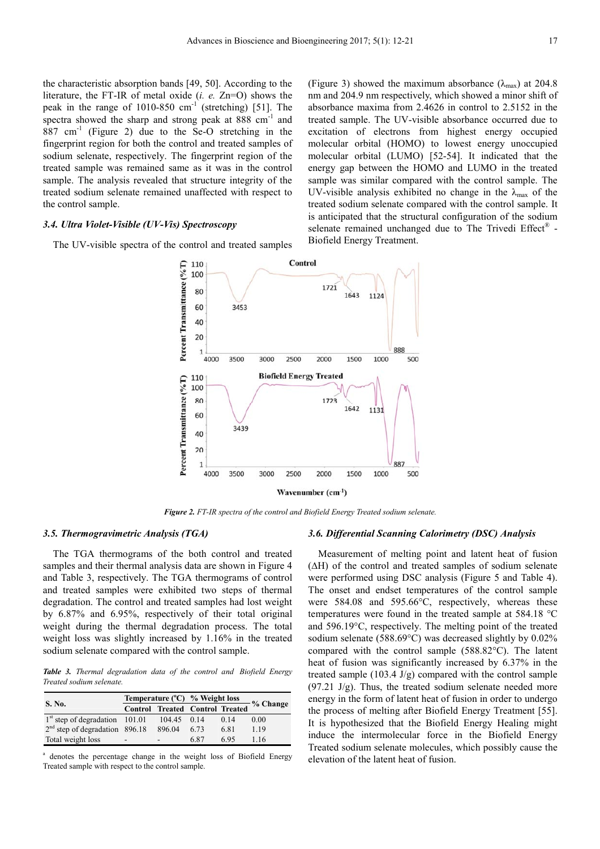the characteristic absorption bands [49, 50]. According to the literature, the FT-IR of metal oxide (*i. e.* Zn=O) shows the peak in the range of 1010-850  $cm^{-1}$  (stretching) [51]. The spectra showed the sharp and strong peak at 888 cm<sup>-1</sup> and  $887 \text{ cm}^{-1}$  (Figure 2) due to the Se-O stretching in the fingerprint region for both the control and treated samples of sodium selenate, respectively. The fingerprint region of the treated sample was remained same as it was in the control sample. The analysis revealed that structure integrity of the treated sodium selenate remained unaffected with respect to the control sample.

#### *3.4. Ultra Violet-Visible (UV-Vis) Spectroscopy*

The UV-visible spectra of the control and treated samples

(Figure 3) showed the maximum absorbance ( $\lambda_{\text{max}}$ ) at 204.8 nm and 204.9 nm respectively, which showed a minor shift of absorbance maxima from 2.4626 in control to 2.5152 in the treated sample. The UV-visible absorbance occurred due to excitation of electrons from highest energy occupied molecular orbital (HOMO) to lowest energy unoccupied molecular orbital (LUMO) [52-54]. It indicated that the energy gap between the HOMO and LUMO in the treated sample was similar compared with the control sample. The UV-visible analysis exhibited no change in the  $\lambda_{\text{max}}$  of the treated sodium selenate compared with the control sample. It is anticipated that the structural configuration of the sodium selenate remained unchanged due to The Trivedi Effect® -Biofield Energy Treatment.



*Figure 2. FT-IR spectra of the control and Biofield Energy Treated sodium selenate.* 

#### *3.5. Thermogravimetric Analysis (TGA)*

The TGA thermograms of the both control and treated samples and their thermal analysis data are shown in Figure 4 and Table 3, respectively. The TGA thermograms of control and treated samples were exhibited two steps of thermal degradation. The control and treated samples had lost weight by 6.87% and 6.95%, respectively of their total original weight during the thermal degradation process. The total weight loss was slightly increased by 1.16% in the treated sodium selenate compared with the control sample.

*Table 3. Thermal degradation data of the control and Biofield Energy Treated sodium selenate.* 

|                                  |               | Temperature (°C) % Weight loss<br>Control Treated Control Treated % Change |                 |      |  |
|----------------------------------|---------------|----------------------------------------------------------------------------|-----------------|------|--|
| <b>S. No.</b>                    |               |                                                                            |                 |      |  |
| $1st$ step of degradation 101.01 | $104.45$ 0.14 |                                                                            | 0 <sup>14</sup> | 0.00 |  |
| $2nd$ step of degradation 896.18 | 896.04        | 6.73                                                                       | 6.81            | 119  |  |
| Total weight loss                |               | 6.87                                                                       | 695             | 116  |  |

<sup>a</sup> denotes the percentage change in the weight loss of Biofield Energy Treated sample with respect to the control sample.

#### *3.6. Differential Scanning Calorimetry (DSC) Analysis*

Measurement of melting point and latent heat of fusion (∆H) of the control and treated samples of sodium selenate were performed using DSC analysis (Figure 5 and Table 4). The onset and endset temperatures of the control sample were 584.08 and 595.66°C, respectively, whereas these temperatures were found in the treated sample at 584.18 °C and 596.19°C, respectively. The melting point of the treated sodium selenate (588.69°C) was decreased slightly by 0.02% compared with the control sample (588.82°C). The latent heat of fusion was significantly increased by 6.37% in the treated sample (103.4 J/g) compared with the control sample  $(97.21 \text{ J/g})$ . Thus, the treated sodium selenate needed more energy in the form of latent heat of fusion in order to undergo the process of melting after Biofield Energy Treatment [55]. It is hypothesized that the Biofield Energy Healing might induce the intermolecular force in the Biofield Energy Treated sodium selenate molecules, which possibly cause the elevation of the latent heat of fusion.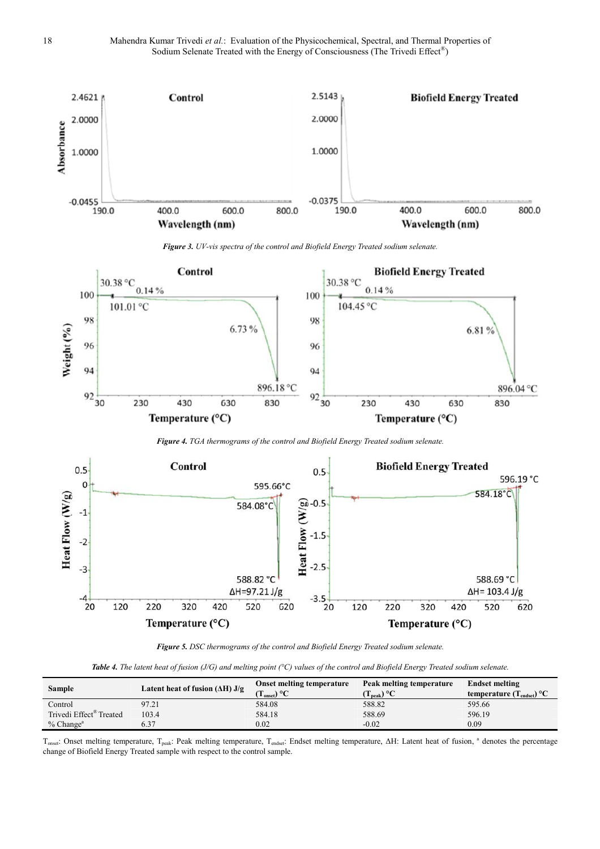

*Figure 3. UV-vis spectra of the control and Biofield Energy Treated sodium selenate.* 



*Figure 4. TGA thermograms of the control and Biofield Energy Treated sodium selenate.* 



*Figure 5. DSC thermograms of the control and Biofield Energy Treated sodium selenate.* 

*Table 4. The latent heat of fusion (J/G) and melting point (°C) values of the control and Biofield Energy Treated sodium selenate.* 

| Sample                              | Latent heat of fusion ( $\Delta H$ ) J/g | <b>Onset melting temperature</b><br>) °C<br>1 onset) | Peak melting temperature<br>$\mathrm{T_{\mathrm{peak}}}$ ) °C | <b>Endset melting</b><br>temperature $(T_{endset})$ °C |
|-------------------------------------|------------------------------------------|------------------------------------------------------|---------------------------------------------------------------|--------------------------------------------------------|
| Control                             | 97.21                                    | 584.08                                               | 588.82                                                        | 595.66                                                 |
| Trivedi Effect <sup>®</sup> Treated | 103.4                                    | 584.18                                               | 588.69                                                        | 596.19                                                 |
| $%$ Change <sup>a</sup>             |                                          | 0.02                                                 | $-0.02$                                                       | 0.09                                                   |

T<sub>onset</sub>: Onset melting temperature, T<sub>peak</sub>: Peak melting temperature, T<sub>endset</sub>: Endset melting temperature, ΔH: Latent heat of fusion, <sup>a</sup> denotes the percentage change of Biofield Energy Treated sample with respect to the control sample.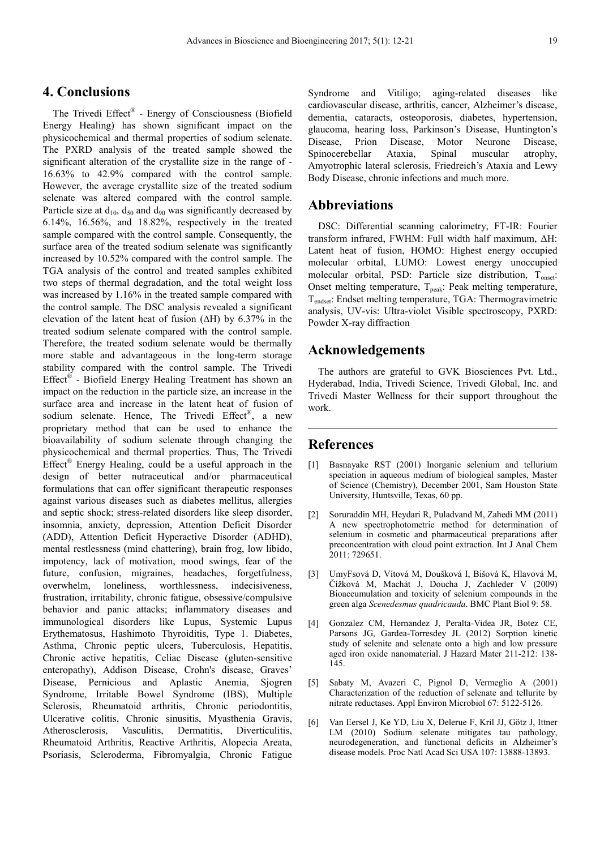### **4. Conclusions**

The Trivedi Effect® - Energy of Consciousness (Biofield Energy Healing) has shown significant impact on the physicochemical and thermal properties of sodium selenate. The PXRD analysis of the treated sample showed the significant alteration of the crystallite size in the range of - 16.63% to 42.9% compared with the control sample. However, the average crystallite size of the treated sodium selenate was altered compared with the control sample. Particle size at  $d_{10}$ ,  $d_{50}$  and  $d_{90}$  was significantly decreased by 6.14%, 16.56%, and 18.82%, respectively in the treated sample compared with the control sample. Consequently, the surface area of the treated sodium selenate was significantly increased by 10.52% compared with the control sample. The TGA analysis of the control and treated samples exhibited two steps of thermal degradation, and the total weight loss was increased by 1.16% in the treated sample compared with the control sample. The DSC analysis revealed a significant elevation of the latent heat of fusion (∆H) by 6.37% in the treated sodium selenate compared with the control sample. Therefore, the treated sodium selenate would be thermally more stable and advantageous in the long-term storage stability compared with the control sample. The Trivedi Effect® - Biofield Energy Healing Treatment has shown an impact on the reduction in the particle size, an increase in the surface area and increase in the latent heat of fusion of sodium selenate. Hence, The Trivedi Effect<sup>®</sup>, a new proprietary method that can be used to enhance the bioavailability of sodium selenate through changing the physicochemical and thermal properties. Thus, The Trivedi Effect<sup>®</sup> Energy Healing, could be a useful approach in the design of better nutraceutical and/or pharmaceutical formulations that can offer significant therapeutic responses against various diseases such as diabetes mellitus, allergies and septic shock; stress-related disorders like sleep disorder, insomnia, anxiety, depression, Attention Deficit Disorder (ADD), Attention Deficit Hyperactive Disorder (ADHD), mental restlessness (mind chattering), brain frog, low libido, impotency, lack of motivation, mood swings, fear of the future, confusion, migraines, headaches, forgetfulness, overwhelm, loneliness, worthlessness, indecisiveness, frustration, irritability, chronic fatigue, obsessive/compulsive behavior and panic attacks; inflammatory diseases and immunological disorders like Lupus, Systemic Lupus Erythematosus, Hashimoto Thyroiditis, Type 1. Diabetes, Asthma, Chronic peptic ulcers, Tuberculosis, Hepatitis, Chronic active hepatitis, Celiac Disease (gluten-sensitive enteropathy), Addison Disease, Crohn's disease, Graves' Disease, Pernicious and Aplastic Anemia, Sjogren Syndrome, Irritable Bowel Syndrome (IBS), Multiple Sclerosis, Rheumatoid arthritis, Chronic periodontitis, Ulcerative colitis, Chronic sinusitis, Myasthenia Gravis, Atherosclerosis, Vasculitis, Dermatitis, Diverticulitis, Rheumatoid Arthritis, Reactive Arthritis, Alopecia Areata, Psoriasis, Scleroderma, Fibromyalgia, Chronic Fatigue

Syndrome and Vitiligo; aging-related diseases like cardiovascular disease, arthritis, cancer, Alzheimer's disease, dementia, cataracts, osteoporosis, diabetes, hypertension, glaucoma, hearing loss, Parkinson's Disease, Huntington's Disease, Prion Disease, Motor Neurone Disease, Spinocerebellar Ataxia, Spinal muscular atrophy, Amyotrophic lateral sclerosis, Friedreich's Ataxia and Lewy Body Disease, chronic infections and much more.

## **Abbreviations**

DSC: Differential scanning calorimetry, FT-IR: Fourier transform infrared, FWHM: Full width half maximum, ∆H: Latent heat of fusion, HOMO: Highest energy occupied molecular orbital, LUMO: Lowest energy unoccupied molecular orbital, PSD: Particle size distribution, Tonset: Onset melting temperature,  $T_{peak}$ : Peak melting temperature, Tendset: Endset melting temperature, TGA: Thermogravimetric analysis, UV-vis: Ultra-violet Visible spectroscopy, PXRD: Powder X-ray diffraction

# **Acknowledgements**

The authors are grateful to GVK Biosciences Pvt. Ltd., Hyderabad, India, Trivedi Science, Trivedi Global, Inc. and Trivedi Master Wellness for their support throughout the work.

### **References**

- [1] Basnayake RST (2001) Inorganic selenium and tellurium speciation in aqueous medium of biological samples, Master of Science (Chemistry), December 2001, Sam Houston State University, Huntsville, Texas, 60 pp.
- [2] Soruraddin MH, Heydari R, Puladvand M, Zahedi MM (2011) A new spectrophotometric method for determination of selenium in cosmetic and pharmaceutical preparations after preconcentration with cloud point extraction. Int J Anal Chem 2011: 729651.
- [3] UmyFsová D, Vítová M, Doušková I, Bišová K, Hlavová M, Čížková M, Machát J, Doucha J, Zachleder V (2009) Bioaccumulation and toxicity of selenium compounds in the green alga *Scenedesmus quadricauda*. BMC Plant Biol 9: 58.
- [4] Gonzalez CM, Hernandez J, Peralta-Videa JR, Botez CE, Parsons JG, Gardea-Torresdey JL (2012) Sorption kinetic study of selenite and selenate onto a high and low pressure aged iron oxide nanomaterial. J Hazard Mater 211-212: 138- 145.
- [5] Sabaty M, Avazeri C, Pignol D, Vermeglio A (2001) Characterization of the reduction of selenate and tellurite by nitrate reductases. Appl Environ Microbiol 67: 5122-5126.
- [6] Van Eersel J, Ke YD, Liu X, Delerue F, Kril JJ, Götz J, Ittner LM (2010) Sodium selenate mitigates tau pathology, neurodegeneration, and functional deficits in Alzheimer's disease models. Proc Natl Acad Sci USA 107: 13888-13893.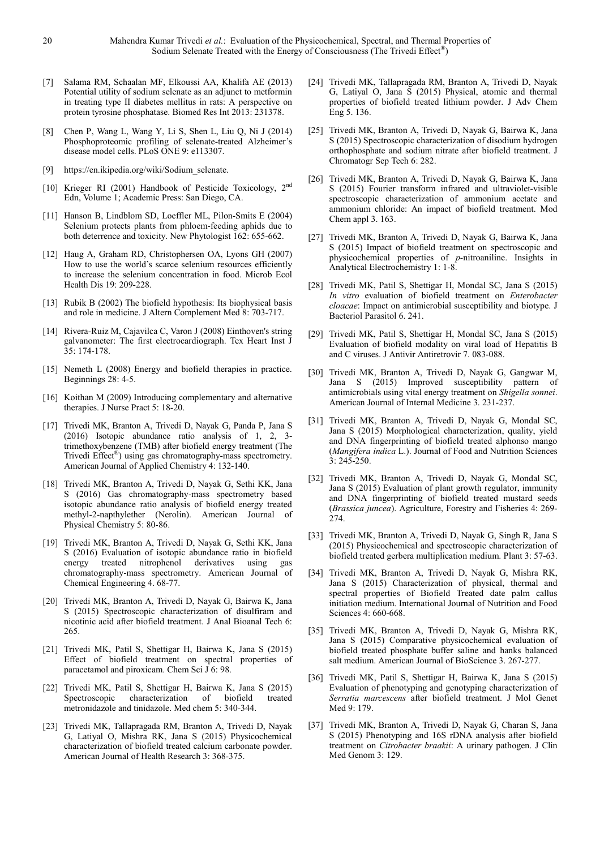- [7] Salama RM, Schaalan MF, Elkoussi AA, Khalifa AE (2013) Potential utility of sodium selenate as an adjunct to metformin in treating type II diabetes mellitus in rats: A perspective on protein tyrosine phosphatase. Biomed Res Int 2013: 231378.
- [8] Chen P, Wang L, Wang Y, Li S, Shen L, Liu Q, Ni J (2014) Phosphoproteomic profiling of selenate-treated Alzheimer's disease model cells. PLoS ONE 9: e113307.
- [9] https://en.ikipedia.org/wiki/Sodium\_selenate.
- [10] Krieger RI (2001) Handbook of Pesticide Toxicology, 2<sup>nd</sup> Edn, Volume 1; Academic Press: San Diego, CA.
- [11] Hanson B, Lindblom SD, Loeffler ML, Pilon-Smits E (2004) Selenium protects plants from phloem-feeding aphids due to both deterrence and toxicity. New Phytologist 162: 655-662.
- [12] Haug A, Graham RD, Christophersen OA, Lyons GH (2007) How to use the world's scarce selenium resources efficiently to increase the selenium concentration in food. Microb Ecol Health Dis 19: 209-228.
- [13] Rubik B (2002) The biofield hypothesis: Its biophysical basis and role in medicine. J Altern Complement Med 8: 703-717.
- [14] Rivera-Ruiz M, Cajavilca C, Varon J (2008) Einthoven's string galvanometer: The first electrocardiograph. Tex Heart Inst J 35: 174-178.
- [15] Nemeth L (2008) Energy and biofield therapies in practice. Beginnings 28: 4-5.
- [16] Koithan M (2009) Introducing complementary and alternative therapies. J Nurse Pract 5: 18-20.
- [17] Trivedi MK, Branton A, Trivedi D, Nayak G, Panda P, Jana S (2016) Isotopic abundance ratio analysis of 1, 2, 3 trimethoxybenzene (TMB) after biofield energy treatment (The Trivedi Effect<sup>®</sup>) using gas chromatography-mass spectrometry. American Journal of Applied Chemistry 4: 132-140.
- [18] Trivedi MK, Branton A, Trivedi D, Nayak G, Sethi KK, Jana S (2016) Gas chromatography-mass spectrometry based isotopic abundance ratio analysis of biofield energy treated methyl-2-napthylether (Nerolin). American Journal of Physical Chemistry 5: 80-86.
- [19] Trivedi MK, Branton A, Trivedi D, Nayak G, Sethi KK, Jana S (2016) Evaluation of isotopic abundance ratio in biofield energy treated nitrophenol derivatives using gas chromatography-mass spectrometry. American Journal of Chemical Engineering 4. 68-77.
- [20] Trivedi MK, Branton A, Trivedi D, Nayak G, Bairwa K, Jana S (2015) Spectroscopic characterization of disulfiram and nicotinic acid after biofield treatment. J Anal Bioanal Tech 6: 265.
- [21] Trivedi MK, Patil S, Shettigar H, Bairwa K, Jana S (2015) Effect of biofield treatment on spectral properties of paracetamol and piroxicam. Chem Sci J 6: 98.
- [22] Trivedi MK, Patil S, Shettigar H, Bairwa K, Jana S (2015) Spectroscopic characterization of biofield treated metronidazole and tinidazole. Med chem 5: 340-344.
- [23] Trivedi MK, Tallapragada RM, Branton A, Trivedi D, Nayak G, Latiyal O, Mishra RK, Jana S (2015) Physicochemical characterization of biofield treated calcium carbonate powder. American Journal of Health Research 3: 368-375.
- [24] Trivedi MK, Tallapragada RM, Branton A, Trivedi D, Nayak G, Latiyal O, Jana S (2015) Physical, atomic and thermal properties of biofield treated lithium powder. J Adv Chem Eng 5. 136.
- [25] Trivedi MK, Branton A, Trivedi D, Nayak G, Bairwa K, Jana S (2015) Spectroscopic characterization of disodium hydrogen orthophosphate and sodium nitrate after biofield treatment. J Chromatogr Sep Tech 6: 282.
- [26] Trivedi MK, Branton A, Trivedi D, Nayak G, Bairwa K, Jana S (2015) Fourier transform infrared and ultraviolet-visible spectroscopic characterization of ammonium acetate and ammonium chloride: An impact of biofield treatment. Mod Chem appl 3. 163.
- [27] Trivedi MK, Branton A, Trivedi D, Nayak G, Bairwa K, Jana S (2015) Impact of biofield treatment on spectroscopic and physicochemical properties of *p*-nitroaniline. Insights in Analytical Electrochemistry 1: 1-8.
- [28] Trivedi MK, Patil S, Shettigar H, Mondal SC, Jana S (2015) *In vitro* evaluation of biofield treatment on *Enterobacter cloacae*: Impact on antimicrobial susceptibility and biotype. J Bacteriol Parasitol 6. 241.
- [29] Trivedi MK, Patil S, Shettigar H, Mondal SC, Jana S (2015) Evaluation of biofield modality on viral load of Hepatitis B and C viruses. J Antivir Antiretrovir 7. 083-088.
- [30] Trivedi MK, Branton A, Trivedi D, Nayak G, Gangwar M, Jana S (2015) Improved susceptibility pattern of antimicrobials using vital energy treatment on *Shigella sonnei*. American Journal of Internal Medicine 3. 231-237.
- [31] Trivedi MK, Branton A, Trivedi D, Nayak G, Mondal SC, Jana S (2015) Morphological characterization, quality, yield and DNA fingerprinting of biofield treated alphonso mango (*Mangifera indica* L.). Journal of Food and Nutrition Sciences 3: 245-250.
- [32] Trivedi MK, Branton A, Trivedi D, Nayak G, Mondal SC, Jana S (2015) Evaluation of plant growth regulator, immunity and DNA fingerprinting of biofield treated mustard seeds (*Brassica juncea*). Agriculture, Forestry and Fisheries 4: 269- 274.
- [33] Trivedi MK, Branton A, Trivedi D, Nayak G, Singh R, Jana S (2015) Physicochemical and spectroscopic characterization of biofield treated gerbera multiplication medium. Plant 3: 57-63.
- [34] Trivedi MK, Branton A, Trivedi D, Nayak G, Mishra RK, Jana S (2015) Characterization of physical, thermal and spectral properties of Biofield Treated date palm callus initiation medium. International Journal of Nutrition and Food Sciences 4: 660-668.
- [35] Trivedi MK, Branton A, Trivedi D, Nayak G, Mishra RK, Jana S (2015) Comparative physicochemical evaluation of biofield treated phosphate buffer saline and hanks balanced salt medium. American Journal of BioScience 3. 267-277.
- [36] Trivedi MK, Patil S, Shettigar H, Bairwa K, Jana S (2015) Evaluation of phenotyping and genotyping characterization of *Serratia marcescens* after biofield treatment. J Mol Genet Med 9: 179.
- [37] Trivedi MK, Branton A, Trivedi D, Nayak G, Charan S, Jana S (2015) Phenotyping and 16S rDNA analysis after biofield treatment on *Citrobacter braakii*: A urinary pathogen. J Clin Med Genom 3: 129.